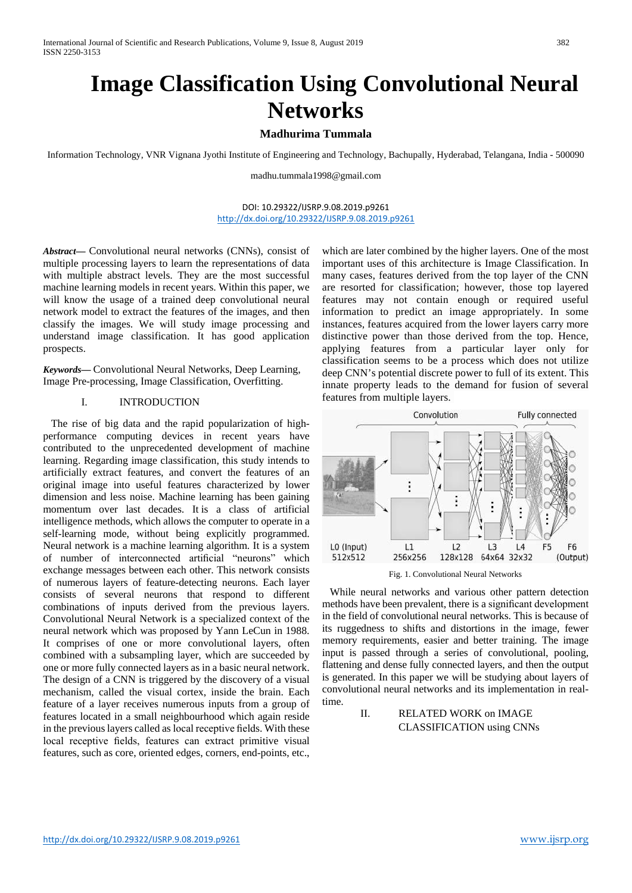# **Image Classification Using Convolutional Neural Networks**

## **Madhurima Tummala**

Information Technology, VNR Vignana Jyothi Institute of Engineering and Technology, Bachupally, Hyderabad, Telangana, India - 500090

[madhu.tummala1998@gmail.com](mailto:madhu.tummala1998@gmail.com)

## DOI: 10.29322/IJSRP.9.08.2019.p9261 <http://dx.doi.org/10.29322/IJSRP.9.08.2019.p9261>

*Abstract***—** Convolutional neural networks (CNNs), consist of multiple processing layers to learn the representations of data with multiple abstract levels. They are the most successful machine learning models in recent years. Within this paper, we will know the usage of a trained deep convolutional neural network model to extract the features of the images, and then classify the images. We will study image processing and understand image classification. It has good application prospects.

*Keywords***—** Convolutional Neural Networks, Deep Learning, Image Pre-processing, Image Classification, Overfitting.

## I. INTRODUCTION

 The rise of big data and the rapid popularization of highperformance computing devices in recent years have contributed to the unprecedented development of machine learning. Regarding image classification, this study intends to artificially extract features, and convert the features of an original image into useful features characterized by lower dimension and less noise. Machine learning has been gaining momentum over last decades. It is a class of artificial intelligence methods, which allows the computer to operate in a self-learning mode, without being explicitly programmed. Neural network is a machine learning algorithm. It is a system of number of interconnected artificial "neurons" which exchange messages between each other. This network consists of numerous layers of feature-detecting neurons. Each layer consists of several neurons that respond to different combinations of inputs derived from the previous layers. Convolutional Neural Network is a specialized context of the neural network which was proposed by Yann LeCun in 1988. It comprises of one or more convolutional layers, often combined with a subsampling layer, which are succeeded by one or more fully connected layers as in a basic neural network. The design of a CNN is triggered by the discovery of a visual mechanism, called the visual cortex, inside the brain. Each feature of a layer receives numerous inputs from a group of features located in a small neighbourhood which again reside in the previous layers called as local receptive fields. With these local receptive fields, features can extract primitive visual features, such as core, oriented edges, corners, end-points, etc.,

which are later combined by the higher layers. One of the most important uses of this architecture is Image Classification. In many cases, features derived from the top layer of the CNN are resorted for classification; however, those top layered features may not contain enough or required useful information to predict an image appropriately. In some instances, features acquired from the lower layers carry more distinctive power than those derived from the top. Hence, applying features from a particular layer only for classification seems to be a process which does not utilize deep CNN's potential discrete power to full of its extent. This innate property leads to the demand for fusion of several features from multiple layers.



Fig. 1. Convolutional Neural Networks

 While neural networks and various other pattern detection methods have been prevalent, there is a significant development in the field of convolutional neural networks. This is because of its ruggedness to shifts and distortions in the image, fewer memory requirements, easier and better training. The image input is passed through a series of convolutional, pooling, flattening and dense fully connected layers, and then the output is generated. In this paper we will be studying about layers of convolutional neural networks and its implementation in realtime.

> II. RELATED WORK on IMAGE CLASSIFICATION using CNNs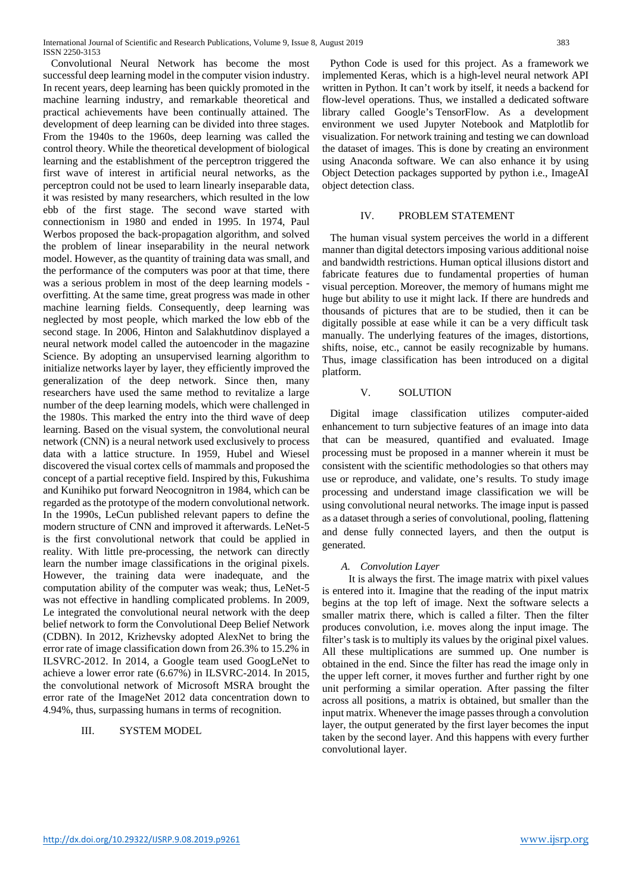Convolutional Neural Network has become the most successful deep learning model in the computer vision industry. In recent years, deep learning has been quickly promoted in the machine learning industry, and remarkable theoretical and practical achievements have been continually attained. The development of deep learning can be divided into three stages. From the 1940s to the 1960s, deep learning was called the control theory. While the theoretical development of biological learning and the establishment of the perceptron triggered the first wave of interest in artificial neural networks, as the perceptron could not be used to learn linearly inseparable data, it was resisted by many researchers, which resulted in the low ebb of the first stage. The second wave started with connectionism in 1980 and ended in 1995. In 1974, Paul Werbos proposed the back-propagation algorithm, and solved the problem of linear inseparability in the neural network model. However, as the quantity of training data was small, and the performance of the computers was poor at that time, there was a serious problem in most of the deep learning models overfitting. At the same time, great progress was made in other machine learning fields. Consequently, deep learning was neglected by most people, which marked the low ebb of the second stage. In 2006, Hinton and Salakhutdinov displayed a neural network model called the autoencoder in the magazine Science. By adopting an unsupervised learning algorithm to initialize networks layer by layer, they efficiently improved the generalization of the deep network. Since then, many researchers have used the same method to revitalize a large number of the deep learning models, which were challenged in the 1980s. This marked the entry into the third wave of deep learning. Based on the visual system, the convolutional neural network (CNN) is a neural network used exclusively to process data with a lattice structure. In 1959, Hubel and Wiesel discovered the visual cortex cells of mammals and proposed the concept of a partial receptive field. Inspired by this, Fukushima and Kunihiko put forward Neocognitron in 1984, which can be regarded as the prototype of the modern convolutional network. In the 1990s, LeCun published relevant papers to define the modern structure of CNN and improved it afterwards. LeNet-5 is the first convolutional network that could be applied in reality. With little pre-processing, the network can directly learn the number image classifications in the original pixels. However, the training data were inadequate, and the computation ability of the computer was weak; thus, LeNet-5 was not effective in handling complicated problems. In 2009, Le integrated the convolutional neural network with the deep belief network to form the Convolutional Deep Belief Network (CDBN). In 2012, Krizhevsky adopted AlexNet to bring the error rate of image classification down from 26.3% to 15.2% in ILSVRC-2012. In 2014, a Google team used GoogLeNet to achieve a lower error rate (6.67%) in ILSVRC-2014. In 2015, the convolutional network of Microsoft MSRA brought the error rate of the ImageNet 2012 data concentration down to 4.94%, thus, surpassing humans in terms of recognition.

## III. SYSTEM MODEL

 Python Code is used for this project. As a framework we implemented Keras, which is a high-level neural network API written in Python. It can't work by itself, it needs a backend for flow-level operations. Thus, we installed a dedicated software library called Google's TensorFlow. As a development environment we used Jupyter Notebook and Matplotlib for visualization. For network training and testing we can download the dataset of images. This is done by creating an environment using Anaconda software. We can also enhance it by using Object Detection packages supported by python i.e., ImageAI object detection class.

## IV. PROBLEM STATEMENT

 The human visual system perceives the world in a different manner than digital detectors imposing various additional noise and bandwidth restrictions. Human optical illusions distort and fabricate features due to fundamental properties of human visual perception. Moreover, the memory of humans might me huge but ability to use it might lack. If there are hundreds and thousands of pictures that are to be studied, then it can be digitally possible at ease while it can be a very difficult task manually. The underlying features of the images, distortions, shifts, noise, etc., cannot be easily recognizable by humans. Thus, image classification has been introduced on a digital platform.

## V. SOLUTION

 Digital image classification utilizes computer-aided enhancement to turn subjective features of an image into data that can be measured, quantified and evaluated. Image processing must be proposed in a manner wherein it must be consistent with the scientific methodologies so that others may use or reproduce, and validate, one's results. To study image processing and understand image classification we will be using convolutional neural networks. The image input is passed as a dataset through a series of convolutional, pooling, flattening and dense fully connected layers, and then the output is generated.

## *A. Convolution Layer*

 It is always the first. The image matrix with pixel values is entered into it. Imagine that the reading of the input matrix begins at the top left of image. Next the software selects a smaller matrix there, which is called a filter. Then the filter produces convolution, i.e. moves along the input image. The filter's task is to multiply its values by the original pixel values. All these multiplications are summed up. One number is obtained in the end. Since the filter has read the image only in the upper left corner, it moves further and further right by one unit performing a similar operation. After passing the filter across all positions, a matrix is obtained, but smaller than the input matrix. Whenever the image passes through a convolution layer, the output generated by the first layer becomes the input taken by the second layer. And this happens with every further convolutional layer.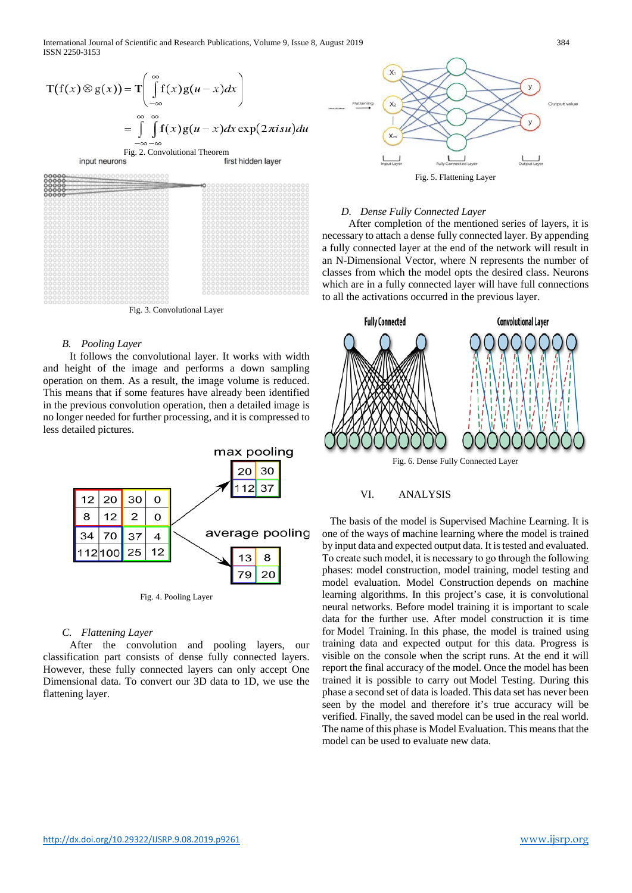International Journal of Scientific and Research Publications, Volume 9, Issue 8, August 2019 384 ISSN 2250-3153

$$
T(f(x) \otimes g(x)) = T\left(\int_{-\infty}^{\infty} f(x)g(u-x)dx\right)
$$
  
= 
$$
\int_{-\infty}^{\infty} \int_{-\infty}^{\infty} f(x)g(u-x)dx \exp(2\pi i s u)du
$$
  
input neurons  
first hidden layer  
g



Fig. 3. Convolutional Layer

#### *B. Pooling Layer*

 It follows the convolutional layer. It works with width and height of the image and performs a down sampling operation on them. As a result, the image volume is reduced. This means that if some features have already been identified in the previous convolution operation, then a detailed image is no longer needed for further processing, and it is compressed to less detailed pictures.



#### *C. Flattening Layer*

 After the convolution and pooling layers, our classification part consists of dense fully connected layers. However, these fully connected layers can only accept One Dimensional data. To convert our 3D data to 1D, we use the flattening layer.



#### *D. Dense Fully Connected Layer*

 After completion of the mentioned series of layers, it is necessary to attach a dense fully connected layer. By appending a fully connected layer at the end of the network will result in an N-Dimensional Vector, where N represents the number of classes from which the model opts the desired class. Neurons which are in a fully connected layer will have full connections to all the activations occurred in the previous layer.



## VI. ANALYSIS

 The basis of the model is Supervised Machine Learning. It is one of the ways of machine learning where the model is trained by input data and expected output data. It is tested and evaluated. Тo create such model, it is necessary to go through the following phases: model construction, model training, model testing and model evaluation. Model Construction depends on machine learning algorithms. In this project's case, it is convolutional neural networks. Before model training it is important to scale data for the further use. After model construction it is time for Model Training. In this phase, the model is trained using training data and expected output for this data. Progress is visible on the console when the script runs. At the end it will report the final accuracy of the model. Once the model has been trained it is possible to carry out Model Testing. During this phase a second set of data is loaded. This data set has never been seen by the model and therefore it's true accuracy will be verified. Finally, the saved model can be used in the real world. The name of this phase is Model Evaluation. This means that the model can be used to evaluate new data.